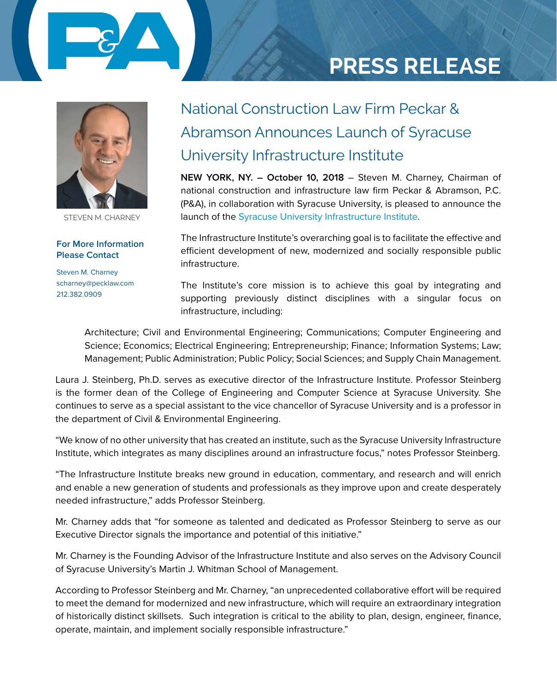

# **PRESS RELEASE**



STEVEN M. CHARNEY

**For More Information Please Contact** 

Steven M. Charney scharney@pecklaw.com 212.382.0909

### National Construction Law Firm Peckar & Abramson Announces Launch of Syracuse University Infrastructure Institute

**NEW YORK, NY. – October 10, 2018** – Steven M. Charney, Chairman of national construction and infrastructure law firm Peckar & Abramson, P.C. (P&A), in collaboration with Syracuse University, is pleased to announce the launch of the [Syracuse University Infrastructure Institute](http://whitman.syr.edu/syracuse-infrastructure).

The Infrastructure Institute's overarching goal is to facilitate the effective and efficient development of new, modernized and socially responsible public infrastructure.

The Institute's core mission is to achieve this goal by integrating and supporting previously distinct disciplines with a singular focus on infrastructure, including:

Architecture; Civil and Environmental Engineering; Communications; Computer Engineering and Science; Economics; Electrical Engineering; Entrepreneurship; Finance; Information Systems; Law; Management; Public Administration; Public Policy; Social Sciences; and Supply Chain Management.

Laura J. Steinberg, Ph.D. serves as executive director of the Infrastructure Institute. Professor Steinberg is the former dean of the College of Engineering and Computer Science at Syracuse University. She continues to serve as a special assistant to the vice chancellor of Syracuse University and is a professor in the department of Civil & Environmental Engineering.

"We know of no other university that has created an institute, such as the Syracuse University Infrastructure Institute, which integrates as many disciplines around an infrastructure focus," notes Professor Steinberg.

"The Infrastructure Institute breaks new ground in education, commentary, and research and will enrich and enable a new generation of students and professionals as they improve upon and create desperately needed infrastructure," adds Professor Steinberg.

Mr. Charney adds that "for someone as talented and dedicated as Professor Steinberg to serve as our Executive Director signals the importance and potential of this initiative."

Mr. Charney is the Founding Advisor of the Infrastructure Institute and also serves on the Advisory Council of Syracuse University's Martin J. Whitman School of Management.

According to Professor Steinberg and Mr. Charney, "an unprecedented collaborative effort will be required to meet the demand for modernized and new infrastructure, which will require an extraordinary integration of historically distinct skillsets. Such integration is critical to the ability to plan, design, engineer, finance, operate, maintain, and implement socially responsible infrastructure."